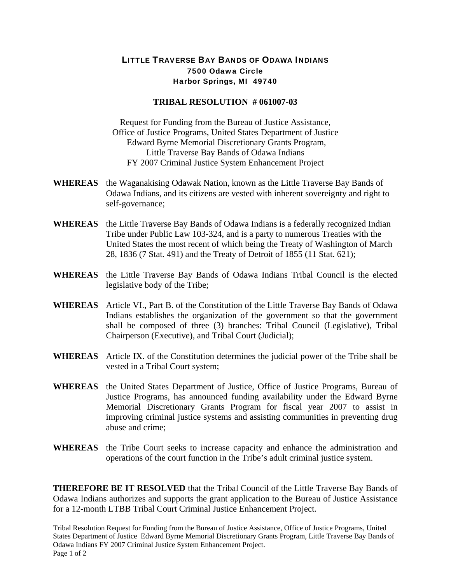## LITTLE TRAVERSE BAY BANDS OF ODAWA INDIANS 7500 Odawa Circle Harbor Springs, MI 49740

## **TRIBAL RESOLUTION # 061007-03**

Request for Funding from the Bureau of Justice Assistance, Office of Justice Programs, United States Department of Justice Edward Byrne Memorial Discretionary Grants Program, Little Traverse Bay Bands of Odawa Indians FY 2007 Criminal Justice System Enhancement Project

- **WHEREAS** the Waganakising Odawak Nation, known as the Little Traverse Bay Bands of Odawa Indians, and its citizens are vested with inherent sovereignty and right to self-governance;
- **WHEREAS** the Little Traverse Bay Bands of Odawa Indians is a federally recognized Indian Tribe under Public Law 103-324, and is a party to numerous Treaties with the United States the most recent of which being the Treaty of Washington of March 28, 1836 (7 Stat. 491) and the Treaty of Detroit of 1855 (11 Stat. 621);
- **WHEREAS** the Little Traverse Bay Bands of Odawa Indians Tribal Council is the elected legislative body of the Tribe;
- **WHEREAS** Article VI., Part B. of the Constitution of the Little Traverse Bay Bands of Odawa Indians establishes the organization of the government so that the government shall be composed of three (3) branches: Tribal Council (Legislative), Tribal Chairperson (Executive), and Tribal Court (Judicial);
- **WHEREAS** Article IX. of the Constitution determines the judicial power of the Tribe shall be vested in a Tribal Court system;
- **WHEREAS** the United States Department of Justice, Office of Justice Programs, Bureau of Justice Programs, has announced funding availability under the Edward Byrne Memorial Discretionary Grants Program for fiscal year 2007 to assist in improving criminal justice systems and assisting communities in preventing drug abuse and crime;
- **WHEREAS** the Tribe Court seeks to increase capacity and enhance the administration and operations of the court function in the Tribe's adult criminal justice system.

**THEREFORE BE IT RESOLVED** that the Tribal Council of the Little Traverse Bay Bands of Odawa Indians authorizes and supports the grant application to the Bureau of Justice Assistance for a 12-month LTBB Tribal Court Criminal Justice Enhancement Project.

Tribal Resolution Request for Funding from the Bureau of Justice Assistance, Office of Justice Programs, United States Department of Justice Edward Byrne Memorial Discretionary Grants Program, Little Traverse Bay Bands of Odawa Indians FY 2007 Criminal Justice System Enhancement Project. Page 1 of 2